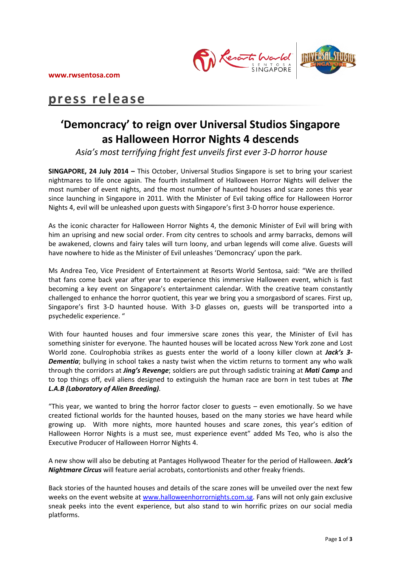

# **press release**

# **'Demoncracy' to reign over Universal Studios Singapore as Halloween Horror Nights 4 descends**

*Asia's most terrifying fright fest unveils first ever 3-D horror house*

**SINGAPORE, 24 July 2014 –** This October, Universal Studios Singapore is set to bring your scariest nightmares to life once again. The fourth installment of Halloween Horror Nights will deliver the most number of event nights, and the most number of haunted houses and scare zones this year since launching in Singapore in 2011. With the Minister of Evil taking office for Halloween Horror Nights 4, evil will be unleashed upon guests with Singapore's first 3-D horror house experience.

As the iconic character for Halloween Horror Nights 4, the demonic Minister of Evil will bring with him an uprising and new social order. From city centres to schools and army barracks, demons will be awakened, clowns and fairy tales will turn loony, and urban legends will come alive. Guests will have nowhere to hide as the Minister of Evil unleashes 'Demoncracy' upon the park.

Ms Andrea Teo, Vice President of Entertainment at Resorts World Sentosa, said: "We are thrilled that fans come back year after year to experience this immersive Halloween event, which is fast becoming a key event on Singapore's entertainment calendar. With the creative team constantly challenged to enhance the horror quotient, this year we bring you a smorgasbord of scares. First up, Singapore's first 3-D haunted house. With 3-D glasses on, guests will be transported into a psychedelic experience. "

With four haunted houses and four immersive scare zones this year, the Minister of Evil has something sinister for everyone. The haunted houses will be located across New York zone and Lost World zone. Coulrophobia strikes as guests enter the world of a loony killer clown at *Jack's 3- Dementia*; bullying in school takes a nasty twist when the victim returns to torment any who walk through the corridors at *Jing's Revenge*; soldiers are put through sadistic training at *Mati Camp* and to top things off, evil aliens designed to extinguish the human race are born in test tubes at *The L.A.B (Laboratory of Alien Breeding).*

"This year, we wanted to bring the horror factor closer to guests – even emotionally. So we have created fictional worlds for the haunted houses, based on the many stories we have heard while growing up. With more nights, more haunted houses and scare zones, this year's edition of Halloween Horror Nights is a must see, must experience event" added Ms Teo, who is also the Executive Producer of Halloween Horror Nights 4.

A new show will also be debuting at Pantages Hollywood Theater for the period of Halloween. *Jack's Nightmare Circus* will feature aerial acrobats, contortionists and other freaky friends.

Back stories of the haunted houses and details of the scare zones will be unveiled over the next few weeks on the event website at [www.halloweenhorrornights.com.sg.](http://www.halloweenhorrornights.com.sg/) Fans will not only gain exclusive sneak peeks into the event experience, but also stand to win horrific prizes on our social media platforms.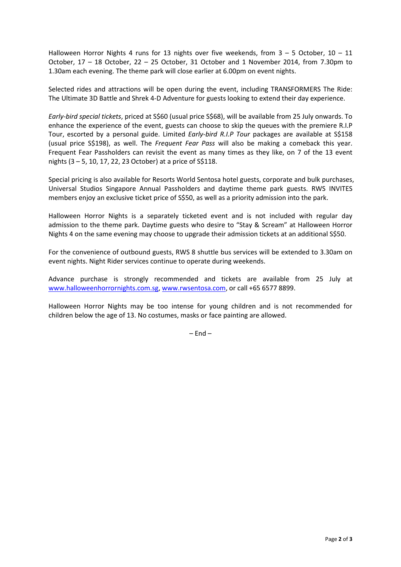Halloween Horror Nights 4 runs for 13 nights over five weekends, from  $3 - 5$  October,  $10 - 11$ October, 17 – 18 October, 22 – 25 October, 31 October and 1 November 2014, from 7.30pm to 1.30am each evening. The theme park will close earlier at 6.00pm on event nights.

Selected rides and attractions will be open during the event, including TRANSFORMERS The Ride: The Ultimate 3D Battle and Shrek 4-D Adventure for guests looking to extend their day experience.

*Early-bird special tickets*, priced at S\$60 (usual price S\$68), will be available from 25 July onwards. To enhance the experience of the event, guests can choose to skip the queues with the premiere R.I.P Tour, escorted by a personal guide. Limited *Early-bird R.I.P Tour* packages are available at S\$158 (usual price S\$198), as well. The *Frequent Fear Pass* will also be making a comeback this year. Frequent Fear Passholders can revisit the event as many times as they like, on 7 of the 13 event nights (3 – 5, 10, 17, 22, 23 October) at a price of S\$118.

Special pricing is also available for Resorts World Sentosa hotel guests, corporate and bulk purchases, Universal Studios Singapore Annual Passholders and daytime theme park guests. RWS INVITES members enjoy an exclusive ticket price of S\$50, as well as a priority admission into the park.

Halloween Horror Nights is a separately ticketed event and is not included with regular day admission to the theme park. Daytime guests who desire to "Stay & Scream" at Halloween Horror Nights 4 on the same evening may choose to upgrade their admission tickets at an additional S\$50.

For the convenience of outbound guests, RWS 8 shuttle bus services will be extended to 3.30am on event nights. Night Rider services continue to operate during weekends.

Advance purchase is strongly recommended and tickets are available from 25 July at [www.halloweenhorrornights.com.sg,](http://www.halloweenhorrornights.com.sg/) [www.rwsentosa.com,](http://www.rwsentosa.com/) or call +65 6577 8899.

Halloween Horror Nights may be too intense for young children and is not recommended for children below the age of 13. No costumes, masks or face painting are allowed.

 $-$  End  $-$